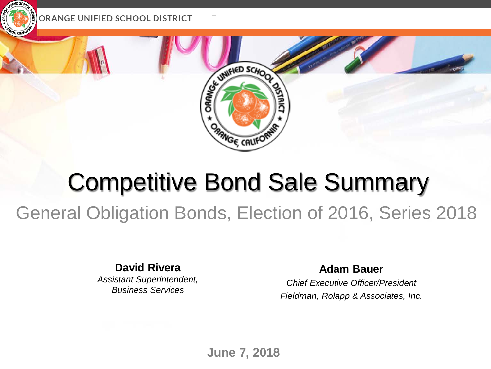



## Competitive Bond Sale Summary

General Obligation Bonds, Election of 2016, Series 2018

**David Rivera**

*Assistant Superintendent, Business Services*

#### **Adam Bauer**

*Chief Executive Officer/President Fieldman, Rolapp & Associates, Inc.*

**June 7, 2018**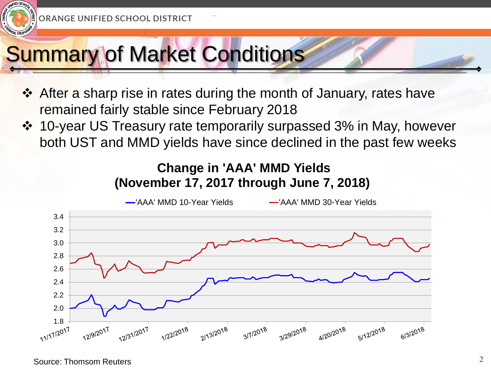

## **Summary of Market Conditions**

- ❖ After a sharp rise in rates during the month of January, rates have remained fairly stable since February 2018
- 10-year US Treasury rate temporarily surpassed 3% in May, however both UST and MMD yields have since declined in the past few weeks

#### **Change in 'AAA' MMD Yields (November 17, 2017 through June 7, 2018)**

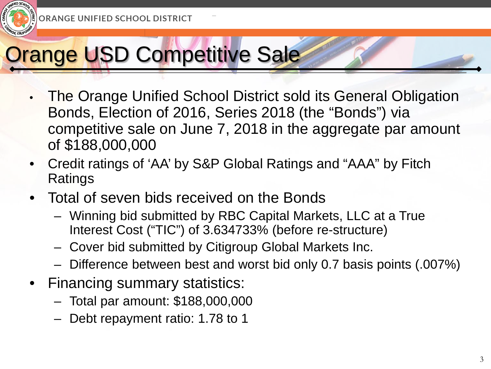

## Orange USD Competitive Sale

- The Orange Unified School District sold its General Obligation Bonds, Election of 2016, Series 2018 (the "Bonds") via competitive sale on June 7, 2018 in the aggregate par amount of \$188,000,000
- Credit ratings of 'AA' by S&P Global Ratings and "AAA" by Fitch Ratings
- Total of seven bids received on the Bonds
	- Winning bid submitted by RBC Capital Markets, LLC at a True Interest Cost ("TIC") of 3.634733% (before re-structure)
	- Cover bid submitted by Citigroup Global Markets Inc.
	- Difference between best and worst bid only 0.7 basis points (.007%)
- Financing summary statistics:
	- Total par amount: \$188,000,000
	- Debt repayment ratio: 1.78 to 1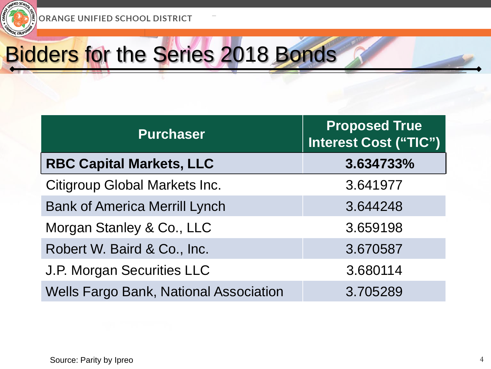

## Bidders for the Series 2018 Bonds

| <b>Purchaser</b>                              | <b>Proposed True</b><br>Interest Cost ("TIC") |
|-----------------------------------------------|-----------------------------------------------|
| <b>RBC Capital Markets, LLC</b>               | 3.634733%                                     |
| <b>Citigroup Global Markets Inc.</b>          | 3.641977                                      |
| <b>Bank of America Merrill Lynch</b>          | 3.644248                                      |
| Morgan Stanley & Co., LLC                     | 3.659198                                      |
| Robert W. Baird & Co., Inc.                   | 3.670587                                      |
| J.P. Morgan Securities LLC                    | 3.680114                                      |
| <b>Wells Fargo Bank, National Association</b> | 3.705289                                      |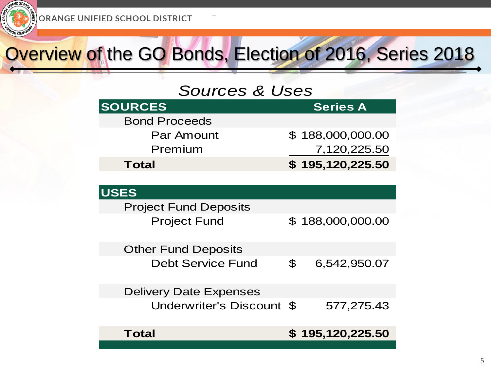

### Overview of the GO Bonds, Election of 2016, Series 2018

#### *Sources & Uses*

| <b>SOURCES</b>       | <b>Series A</b>  |
|----------------------|------------------|
| <b>Bond Proceeds</b> |                  |
| Par Amount           | \$188,000,000.00 |
| Premium              | 7,120,225.50     |
| <b>Total</b>         | \$195,120,225.50 |
|                      |                  |

| <b>SES</b>                    |               |                  |
|-------------------------------|---------------|------------------|
| <b>Project Fund Deposits</b>  |               |                  |
| <b>Project Fund</b>           |               | \$188,000,000.00 |
| <b>Other Fund Deposits</b>    |               |                  |
| <b>Debt Service Fund</b>      | $\mathcal{L}$ | 6,542,950.07     |
| <b>Delivery Date Expenses</b> |               |                  |
| Underwriter's Discount \$     |               | 577,275.43       |
| <b>Total</b>                  |               | \$195,120,225.50 |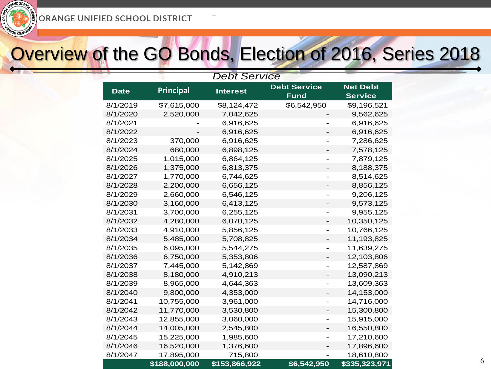

### Overview of the GO Bonds, Election of 2016, Series 2018

|             |                  | <b>Debt Service</b> |                     |                 |
|-------------|------------------|---------------------|---------------------|-----------------|
| <b>Date</b> | <b>Principal</b> | <b>Interest</b>     | <b>Debt Service</b> | <b>Net Debt</b> |
|             |                  |                     | <b>Fund</b>         | <b>Service</b>  |
| 8/1/2019    | \$7,615,000      | \$8,124,472         | \$6,542,950         | \$9,196,521     |
| 8/1/2020    | 2,520,000        | 7,042,625           |                     | 9,562,625       |
| 8/1/2021    |                  | 6,916,625           |                     | 6,916,625       |
| 8/1/2022    |                  | 6,916,625           |                     | 6,916,625       |
| 8/1/2023    | 370,000          | 6,916,625           |                     | 7,286,625       |
| 8/1/2024    | 680,000          | 6,898,125           |                     | 7,578,125       |
| 8/1/2025    | 1,015,000        | 6,864,125           |                     | 7,879,125       |
| 8/1/2026    | 1,375,000        | 6,813,375           |                     | 8,188,375       |
| 8/1/2027    | 1,770,000        | 6,744,625           |                     | 8,514,625       |
| 8/1/2028    | 2,200,000        | 6,656,125           |                     | 8,856,125       |
| 8/1/2029    | 2,660,000        | 6,546,125           |                     | 9,206,125       |
| 8/1/2030    | 3,160,000        | 6,413,125           |                     | 9,573,125       |
| 8/1/2031    | 3,700,000        | 6,255,125           |                     | 9,955,125       |
| 8/1/2032    | 4,280,000        | 6,070,125           |                     | 10,350,125      |
| 8/1/2033    | 4,910,000        | 5,856,125           |                     | 10,766,125      |
| 8/1/2034    | 5,485,000        | 5,708,825           |                     | 11,193,825      |
| 8/1/2035    | 6,095,000        | 5,544,275           |                     | 11,639,275      |
| 8/1/2036    | 6,750,000        | 5,353,806           |                     | 12,103,806      |
| 8/1/2037    | 7,445,000        | 5,142,869           |                     | 12,587,869      |
| 8/1/2038    | 8,180,000        | 4,910,213           |                     | 13,090,213      |
| 8/1/2039    | 8,965,000        | 4,644,363           |                     | 13,609,363      |
| 8/1/2040    | 9,800,000        | 4,353,000           |                     | 14,153,000      |
| 8/1/2041    | 10,755,000       | 3,961,000           |                     | 14,716,000      |
| 8/1/2042    | 11,770,000       | 3,530,800           |                     | 15,300,800      |
| 8/1/2043    | 12,855,000       | 3,060,000           |                     | 15,915,000      |
| 8/1/2044    | 14,005,000       | 2,545,800           |                     | 16,550,800      |
| 8/1/2045    | 15,225,000       | 1,985,600           |                     | 17,210,600      |
| 8/1/2046    | 16,520,000       | 1,376,600           |                     | 17,896,600      |
| 8/1/2047    | 17,895,000       | 715,800             |                     | 18,610,800      |
|             | \$188,000,000    | \$153,866,922       | \$6,542,950         | \$335,323,971   |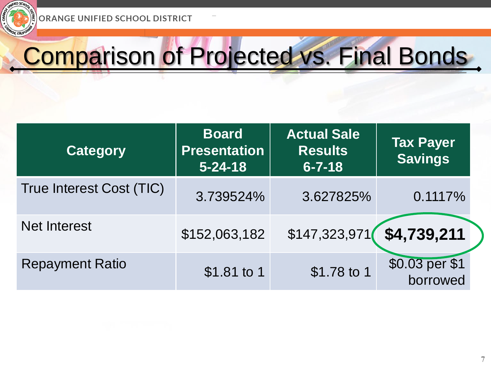

# Comparison of Projected vs. Final Bonds

| <b>Category</b>          | <b>Board</b><br><b>Presentation</b><br>$5 - 24 - 18$ | <b>Actual Sale</b><br><b>Results</b><br>$6 - 7 - 18$ | <b>Tax Payer</b><br><b>Savings</b> |
|--------------------------|------------------------------------------------------|------------------------------------------------------|------------------------------------|
| True Interest Cost (TIC) | 3.739524%                                            | 3.627825%                                            | 0.1117%                            |
| <b>Net Interest</b>      | \$152,063,182                                        | $$147,323,971$ \$4,739,211                           |                                    |
| <b>Repayment Ratio</b>   | \$1.81 to 1                                          | \$1.78 to 1                                          | \$0.03 per \$1<br>borrowed         |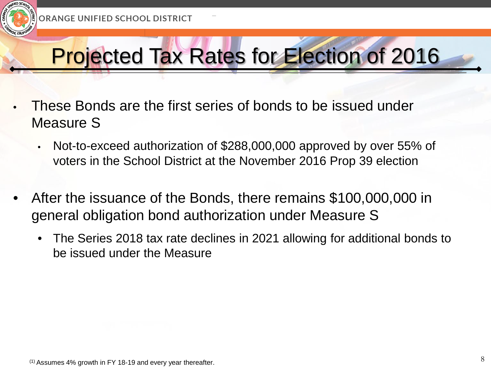

## Projected Tax Rates for Election of 2016

- These Bonds are the first series of bonds to be issued under Measure S
	- Not-to-exceed authorization of \$288,000,000 approved by over 55% of voters in the School District at the November 2016 Prop 39 election
- After the issuance of the Bonds, there remains \$100,000,000 in general obligation bond authorization under Measure S
	- The Series 2018 tax rate declines in 2021 allowing for additional bonds to be issued under the Measure